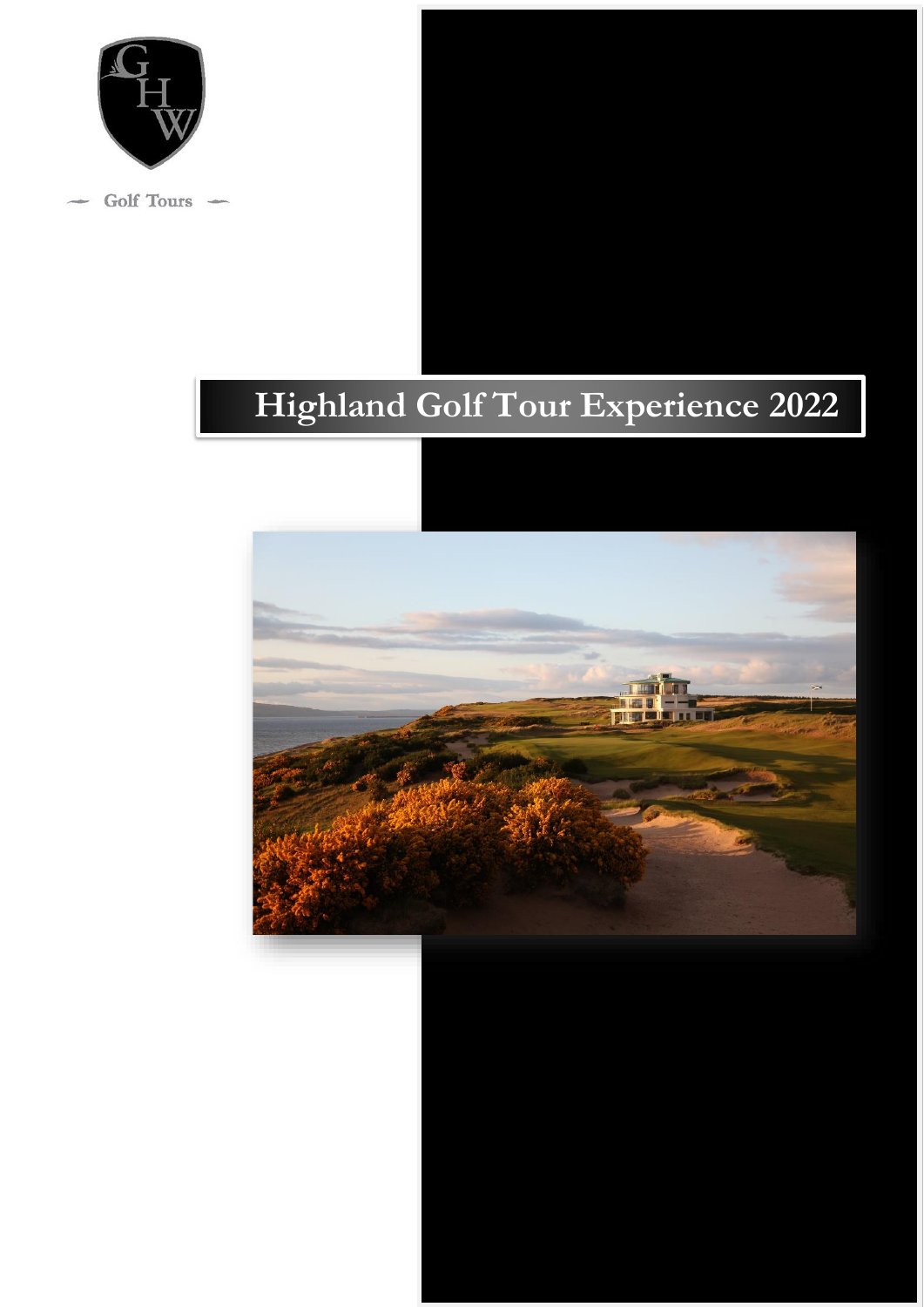

Golf Tours –

# **Highland Golf Tour Experience 2022**

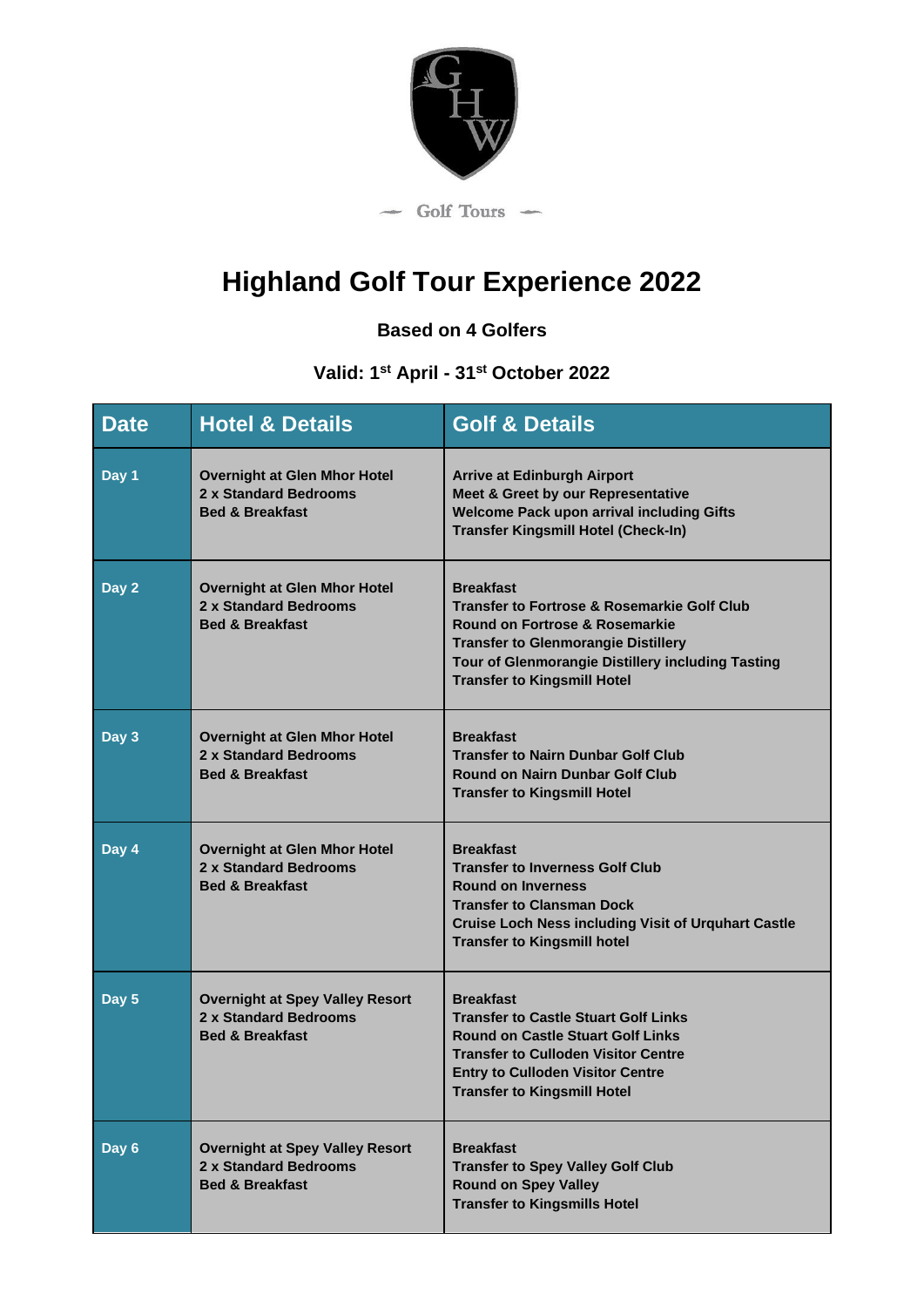

# **Highland Golf Tour Experience 2022**

**Based on 4 Golfers**

# **Valid: 1 st April - 31st October 2022**

| <b>Date</b> | <b>Hotel &amp; Details</b>                                                                    | <b>Golf &amp; Details</b>                                                                                                                                                                                                                             |
|-------------|-----------------------------------------------------------------------------------------------|-------------------------------------------------------------------------------------------------------------------------------------------------------------------------------------------------------------------------------------------------------|
| Day 1       | <b>Overnight at Glen Mhor Hotel</b><br>2 x Standard Bedrooms<br><b>Bed &amp; Breakfast</b>    | <b>Arrive at Edinburgh Airport</b><br>Meet & Greet by our Representative<br><b>Welcome Pack upon arrival including Gifts</b><br><b>Transfer Kingsmill Hotel (Check-In)</b>                                                                            |
| Day 2       | <b>Overnight at Glen Mhor Hotel</b><br>2 x Standard Bedrooms<br><b>Bed &amp; Breakfast</b>    | <b>Breakfast</b><br><b>Transfer to Fortrose &amp; Rosemarkie Golf Club</b><br>Round on Fortrose & Rosemarkie<br><b>Transfer to Glenmorangie Distillery</b><br>Tour of Glenmorangie Distillery including Tasting<br><b>Transfer to Kingsmill Hotel</b> |
| Day 3       | <b>Overnight at Glen Mhor Hotel</b><br>2 x Standard Bedrooms<br><b>Bed &amp; Breakfast</b>    | <b>Breakfast</b><br><b>Transfer to Nairn Dunbar Golf Club</b><br><b>Round on Nairn Dunbar Golf Club</b><br><b>Transfer to Kingsmill Hotel</b>                                                                                                         |
| Day 4       | <b>Overnight at Glen Mhor Hotel</b><br>2 x Standard Bedrooms<br><b>Bed &amp; Breakfast</b>    | <b>Breakfast</b><br><b>Transfer to Inverness Golf Club</b><br><b>Round on Inverness</b><br><b>Transfer to Clansman Dock</b><br><b>Cruise Loch Ness including Visit of Urquhart Castle</b><br><b>Transfer to Kingsmill hotel</b>                       |
| Day 5       | <b>Overnight at Spey Valley Resort</b><br>2 x Standard Bedrooms<br><b>Bed &amp; Breakfast</b> | <b>Breakfast</b><br><b>Transfer to Castle Stuart Golf Links</b><br><b>Round on Castle Stuart Golf Links</b><br><b>Transfer to Culloden Visitor Centre</b><br><b>Entry to Culloden Visitor Centre</b><br><b>Transfer to Kingsmill Hotel</b>            |
| Day 6       | <b>Overnight at Spey Valley Resort</b><br>2 x Standard Bedrooms<br><b>Bed &amp; Breakfast</b> | <b>Breakfast</b><br><b>Transfer to Spey Valley Golf Club</b><br><b>Round on Spey Valley</b><br><b>Transfer to Kingsmills Hotel</b>                                                                                                                    |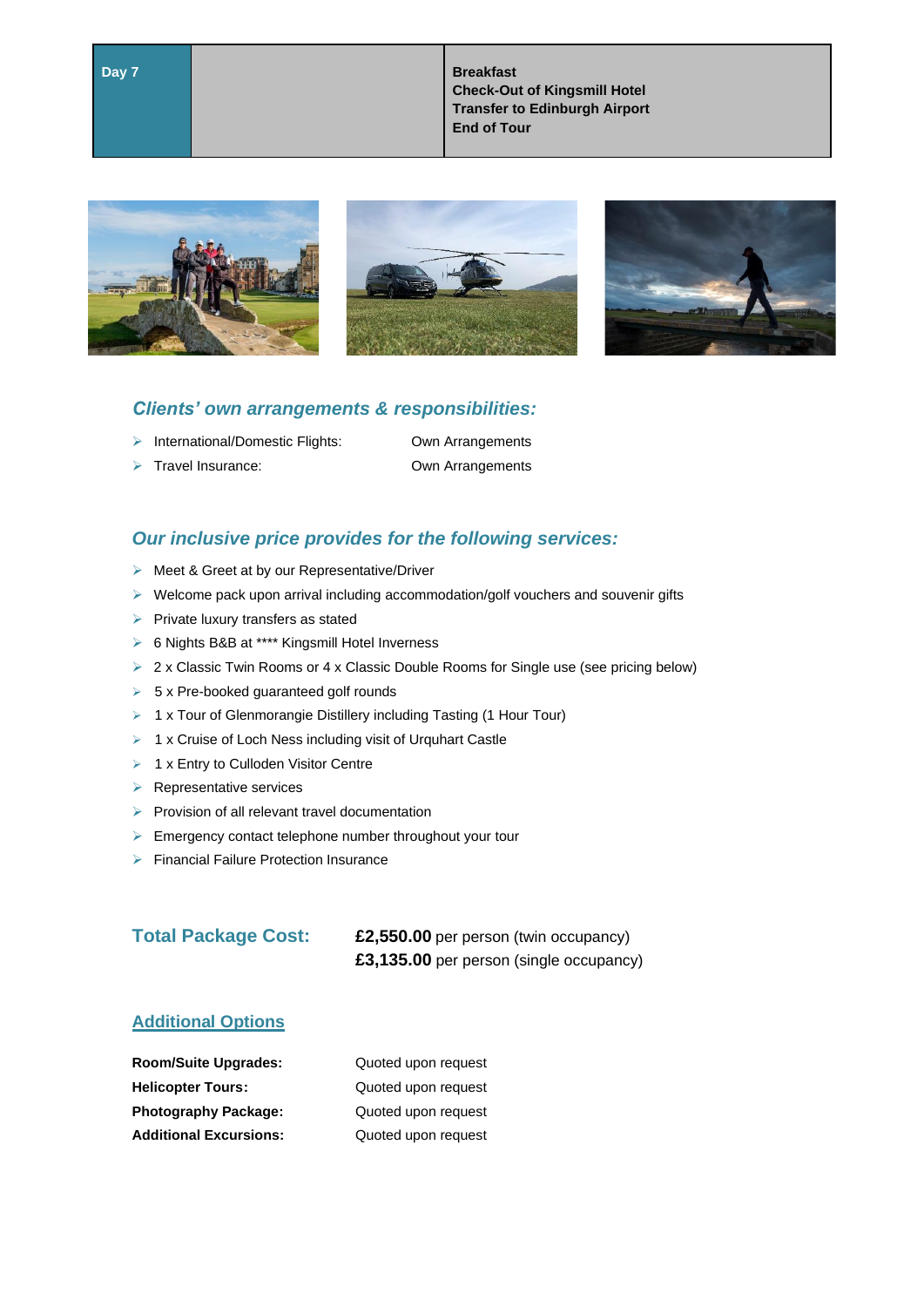**Day 7 Breakfast Check-Out of Kingsmill Hotel Transfer to Edinburgh Airport End of Tour**







#### *Clients' own arrangements & responsibilities:*

- ➢ International/Domestic Flights: Own Arrangements
- 
- ➢ Travel Insurance: Own Arrangements

## *Our inclusive price provides for the following services:*

- ➢ Meet & Greet at by our Representative/Driver
- ➢ Welcome pack upon arrival including accommodation/golf vouchers and souvenir gifts
- ➢ Private luxury transfers as stated
- ➢ 6 Nights B&B at \*\*\*\* Kingsmill Hotel Inverness
- ➢ 2 x Classic Twin Rooms or 4 x Classic Double Rooms for Single use (see pricing below)
- $\geq 5$  x Pre-booked guaranteed golf rounds
- ➢ 1 x Tour of Glenmorangie Distillery including Tasting (1 Hour Tour)
- ➢ 1 x Cruise of Loch Ness including visit of Urquhart Castle
- ➢ 1 x Entry to Culloden Visitor Centre
- ➢ Representative services
- ➢ Provision of all relevant travel documentation
- ➢ Emergency contact telephone number throughout your tour
- ➢ Financial Failure Protection Insurance

| <b>Total Package Cost:</b> | £2,550.00 per person (twin occupancy)   |
|----------------------------|-----------------------------------------|
|                            | £3,135.00 per person (single occupancy) |

### **Additional Options**

| <b>Room/Suite Upgrades:</b>   | Quoted upon request |
|-------------------------------|---------------------|
| <b>Helicopter Tours:</b>      | Quoted upon request |
| <b>Photography Package:</b>   | Quoted upon request |
| <b>Additional Excursions:</b> | Quoted upon request |